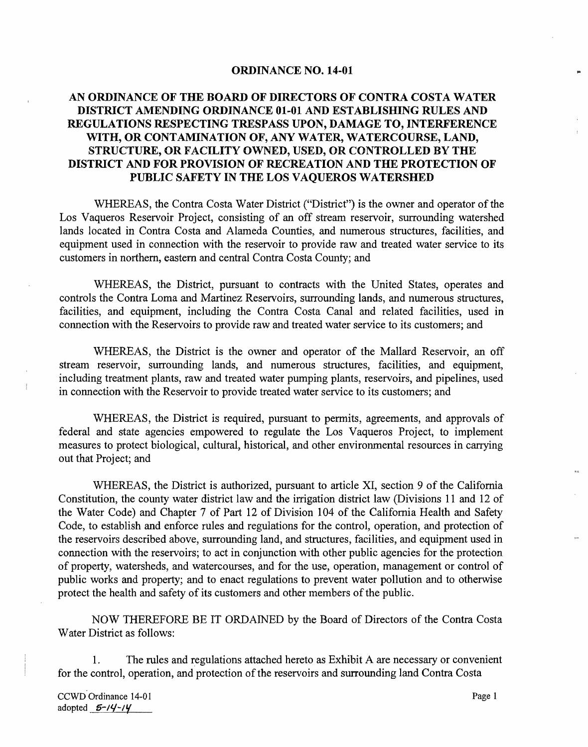#### **ORDINANCE NO. 14-01**

# **AN ORDINANCE OF THE BOARD OF DIRECTORS OF CONTRA COSTA WATER DISTRICT AMENDING ORDINANCE 01-01 AND ESTABLISHING RULES AND REGULATIONS RESPECTING TRESPASS UPON, DAMAGE TO, INTERFERENCE**  WITH, OR CONTAMINATION OF, ANY WATER, WATERCOURSE, LAND, **STRUCTURE, OR FACILITY OWNED, USED, OR CONTROLLED BY THE DISTRICT AND FOR PROVISION OF RECREATION AND THE PROTECTION OF PUBLIC SAFETY IN THE LOS VAQUEROS WATERSHED**

WHEREAS, the Contra Costa Water District ("District") is the owner and operator of the Los Vaqueros Reservoir Project, consisting of an off stream reservoir, surrounding watershed lands located in Contra Costa and Alameda Counties, and numerous structures, facilities, and equipment used in connection with the reservoir to provide raw and treated water service to its customers in northern, eastern and central Contra Costa County; and

WHEREAS, the District, pursuant to contracts with the United States, operates and controls the Contra Loma and Martinez Reservoirs, surrounding lands, and numerous structures, facilities, and equipment, including the Contra Costa Canal and related facilities, used in connection with the Reservoirs to provide raw and treated water service to its customers; and

WHEREAS, the District is the owner and operator of the Mallard Reservoir, an off stream reservoir, surrounding lands, and numerous structures, facilities, and equipment, including treatment plants, raw and treated water pumping plants, reservoirs, and pipelines, used in connection with the Reservoir to provide treated water service to its customers; and

WHEREAS, the District is required., pursuant to permits, agreements, and approvals of federal and state agencies empowered to regulate the Los Vaqueros Project, to implement measures to protect biological, cultural, historical, and other environmental resources in carrying out that Project; and

WHEREAS, the District is authorized, pursuant to article XI, section 9 of the California Constitution, the county water district law and the irrigation district law (Divisions 11 and 12 of the Water Code) and Chapter 7 of Part 12 of Division 104 of the California Health and Safety Code, to establish and enforce rules and regulations for the control, operation, and protection of the reservoirs described above, surrounding land, and structures, facilities, and equipment used in connection with the reservoirs; to act in conjunction with other public agencies for the protection of property, watersheds, and watercourses, and for the use, operation, management or control of public works and property; and to enact regulations to prevent water pollution and to otherwise protect the health and safety of its customers and other members of the public.

NOW THEREFORE BE IT ORDAINED by the Board of Directors of the Contra Costa Water District as follows:

1. The rules and regulations attached hereto as Exhibit A are necessary or convenient for the control, operation, and protection of the reservoirs and surrounding land Contra Costa

CCWD Ordinance 14-01 Page 1 adopted 5-14-14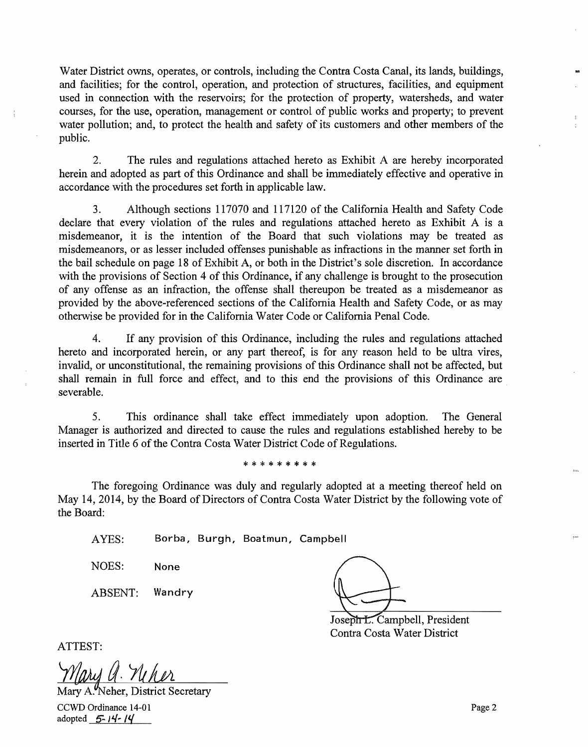Water District owns, operates, or controls, including the Contra Costa Canal, its lands, buildings, and facilities; for the control, operation, and protection of structures, facilities, and equipment used in connection with the reservoirs; for the protection of property, watersheds, and water courses, for the use, operation, management or control of public works and property; to prevent water pollution; and, to protect the health and safety of its customers and other members of the public.

2. The rules and regulations attached hereto as Exhibit A are hereby incorporated herein and adopted as part of this Ordinance and shall be immediately effective and operative in accordance with the procedures set forth in applicable law.

3. Although sections 117070 and 117120 of the California Health and Safety Code declare that every violation of the rules and regulations attached hereto as Exhibit A is a misdemeanor, it is the intention of the Board that such violations may be treated as misdemeanors, or as lesser included offenses punishable as infractions in the manner set forth in the bail schedule on page 18 of Exhibit A, or both in the District's sole discretion. In accordance with the provisions of Section 4 of this Ordinance, if any challenge is brought to the prosecution of any offense as an infraction, the offense shall thereupon be treated as a misdemeanor as provided by the above-referenced sections of the California Health and Safety Code, or as may otherwise be provided for in the California Water Code or California Penal Code.

4. If any provision of this Ordinance, including the rules and regulations attached hereto and incorporated herein, or any part thereof, is for any reason held to be ultra vires, invalid, or unconstitutional, the remaining provisions of this Ordinance shall not be affected, but shall remain in full force and effect, and to this end the provisions of this Ordinance are severable.

5. This ordinance shall take effect immediately upon adoption. The General Manager is authorized and directed to cause the rules and regulations established hereby to be inserted in Title 6 of the Contra Costa Water District Code of Regulations.

#### \*\*\*\*\*\*\*\*\*

The foregoing Ordinance was duly and regularly adopted at a meeting thereof held on May 14, 2014, by the Board of Directors of Contra Costa Water District by the following vote of the Board:

AYES: Borba, Burgh, Boatmun, Campbell

NOES: None

ABSENT: Wandry

Joseph L. Campbell, President Contra Costa Water District

ATTEST:

 $\frac{1}{4}$ 

adopted  $5 - 14 - 14$ 

Mary A. Neher, District Secretary

CCWD Ordinance 14-01 Page 2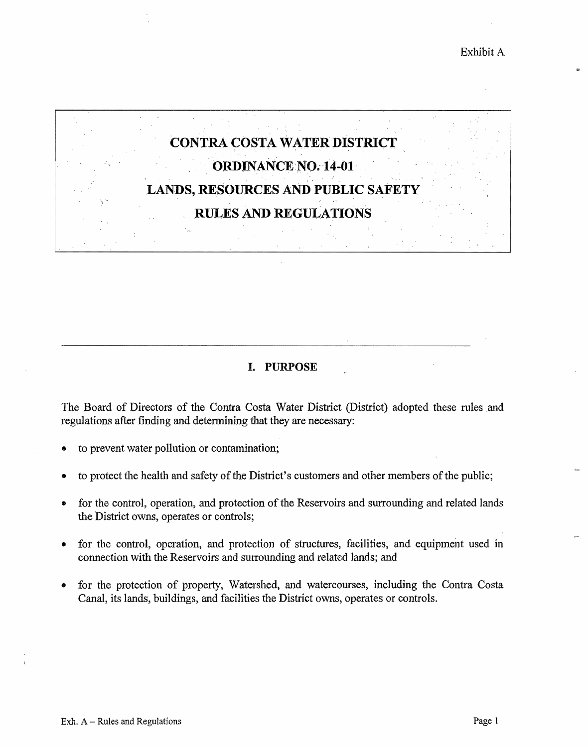

# **L PURPOSE**

The Board of Directors of the Contra Costa Water District (District) adopted these rules and regulations after finding and determining that they are necessary:

- to prevent water pollution or contamination;
- to protect the health and safety of the District's customers and other members of the public;
- for the control, operation, and protection of the Reservoirs and surrounding and related lands the District owns, operates or controls;
- for the control, operation, and protection of structures, facilities, and equipment used in connection with the Reservoirs and surrounding and related lands; and
- for the protection of property, Watershed, and watercourses, including the Contra Costa Canal, its lands, buildings, and facilities the District owns, operates or controls.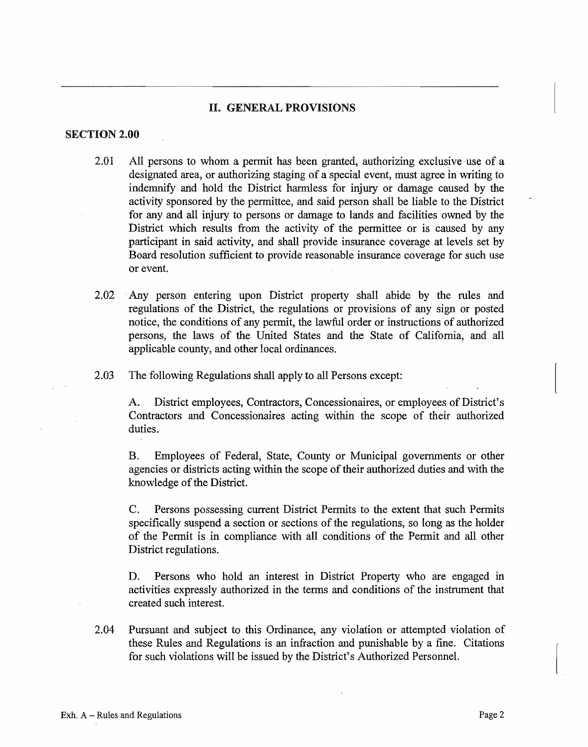# II. GENERAL PROVISIONS

#### **SECTION 2.00**

- 2.01 All persons to whom a permit has been granted, authorizing exclusive use of a designated area, or authorizing staging of a special event, must agree in writing to indemnify and hold the District harmless for injury or damage caused by the activity sponsored by the permittee, and said person shall be liable to the District for any and all injury to persons or damage to lands and facilities owned by the District which results from the activity of the permittee or is caused by any participant in said activity, and shall provide insurance coverage at levels set by Board resolution sufficient to provide reasonable insurance coverage for such use or event.
- 2.02 Any person entering upon District property shall abide by the rules and regulations of the District, the regulations or provisions of any sign or posted notice, the conditions of any permit, the lawful order or instructions of authorized persons, the laws of the United States and the State of California, and all applicable county, and other local ordinances.
- 2.03 The following Regulations shall apply to all Persons except:

A. District employees, Contractors, Concessionaires, or employees of District's Contractors and Concessionaires acting within the scope of their authorized duties.

B. Employees of Federal, State, County or Municipal governments or other agencies or districts acting within the scope of their authorized duties and with the knowledge of the District.

C. Persons possessing current District Permits to the extent that such Permits specifically suspend a section or sections of the regulations, so long as the holder of the Permit is in compliance with all conditions of the Permit and all other District regulations.

D. Persons who hold an interest in District Property who are engaged in activities expressly authorized in the terms and conditions of the instrument that created such interest.

2.04 Pursuant and subject to this Ordinance, any violation or attempted violation of these Rules and Regulations is an infraction and punishable by a fine. Citations for such violations will be issued by the District's Authorized Personnel.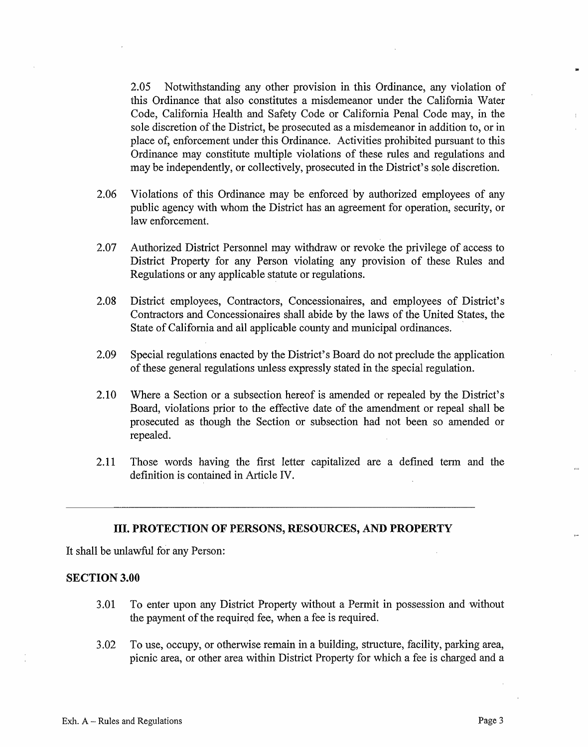2.05 Notwithstanding any other provision in this Ordinance, any violation of this Ordinance that also constitutes a misdemeanor under the California Water Code, California Health and Safety Code or California Penal Code may, in the sole discretion of the District, be prosecuted as a misdemeanor in addition to, or in place of, enforcement under this Ordinance. Activities prohibited pursuant to this Ordinance may constitute multiple violations of these rules and regulations and may be independently, or collectively, prosecuted in the District's sole discretion.

- 2.06 Violations of this Ordinance may be enforced by authorized employees of any public agency with whom the District has an agreement for operation, security, or law enforcement.
- 2.07 Authorized District Personnel may withdraw or revoke the privilege of access to District Property for any Person violating any provision of these Rules and Regulations or any applicable statute or regulations.
- 2.08 District employees, Contractors, Concessionaires, and employees of District's Contractors and Concessionaires shall abide by the laws of the United States, the State of California and all applicable county and municipal ordinances.
- 2.09 Special regulations enacted by the District's Board do not preclude the application of these general regulations unless expressly stated in the special regulation.
- 2.10 Where a Section or a subsection hereof is amended or repealed by the District's Board, violations prior to the effective date of the amendment or repeal shall be prosecuted as though the Section or subsection had not been so amended or repealed.
- 2.11 Those words having the first letter capitalized are a defined tenn and the definition is contained in Article IV.

#### III. **PROTECTION OF PERSONS, RESOURCES, AND PROPERTY**

It shall be unlawful for any Person:

### **SECTION 3.00**

- 3.01 To enter upon any District Property without a Permit in possession and without the payment of the required fee, when a fee is required.
- 3.02 To use, occupy, or otherwise remain in a building, structure, facility, parking area, picnic area, or other area within District Property for which a fee is charged and a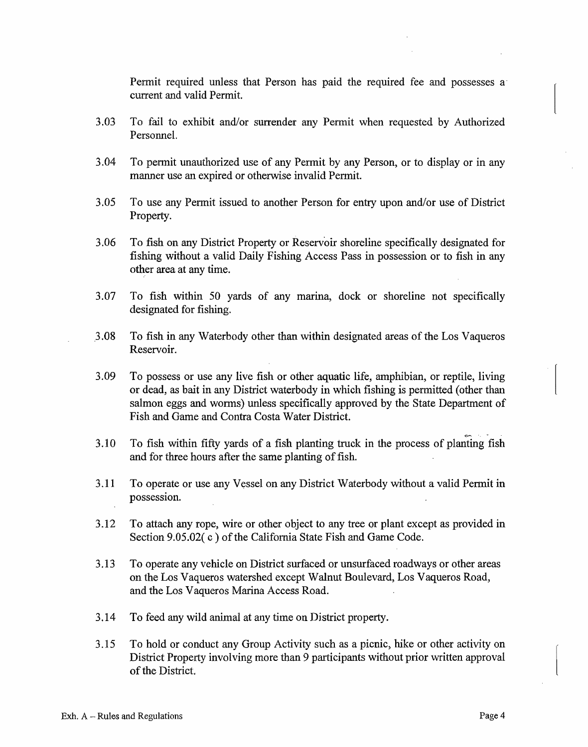Permit required unless that Person has paid the required fee and possesses a current and valid Permit.

- 3.03 To fail to exhibit and/or surrender any Permit when requested by Authorized Personnel.
- 3.04 To permit unauthorized use of any Permit by any Person, or to display or in any manner use an expired or otherwise invalid Permit.
- 3.05 To use any Permit issued to another Person for entry upon and/or use of District Property.
- 3.06 To fish on any District Property or Reservoir shoreline specifically designated for fishing without a valid Daily Fishing Access Pass in possession or to fish in any other area at any time.
- 3.07 To fish within 50 yards of any manna, dock or shoreline not specifically designated for fishing.
- .3.08 To fish in any Waterbody other than within designated areas of the Los Vaqueros Reservoir.
- 3.09 To possess or use any live fish or other aquatic life, amphibian, or reptile, living or dead, as bait in any District waterbody in which fishing is permitted ( other than salmon eggs and worms) unless specifically approved by the State Department of Fish and Game and Contra Costa Water District.
- $3.10$  To fish within fifty yards of a fish planting truck in the process of planting fish and for three hours after the same planting of fish.
- 3.11 To operate or use any Vessel on any District Waterbody without a valid Permit in possession.
- 3.12 To attach any rope, wire or other object to any tree or plant except as provided in Section 9.05.02(c) of the California State Fish and Game Code.
- 3.13 To operate any vehicle on District surfaced or unsurfaced roadways or other areas on the Los Vaqueros watershed except Walnut Boulevard, Los Vaqueros Road, and the Los Vaqueros Marina Access Road.
- 3 .14 To feed any wild animal at any time on District property.
- 3.15 To hold or conduct any Group Activity such as a picnic, hike or other activity on District Property involving more than 9 participants without prior written approval of the District.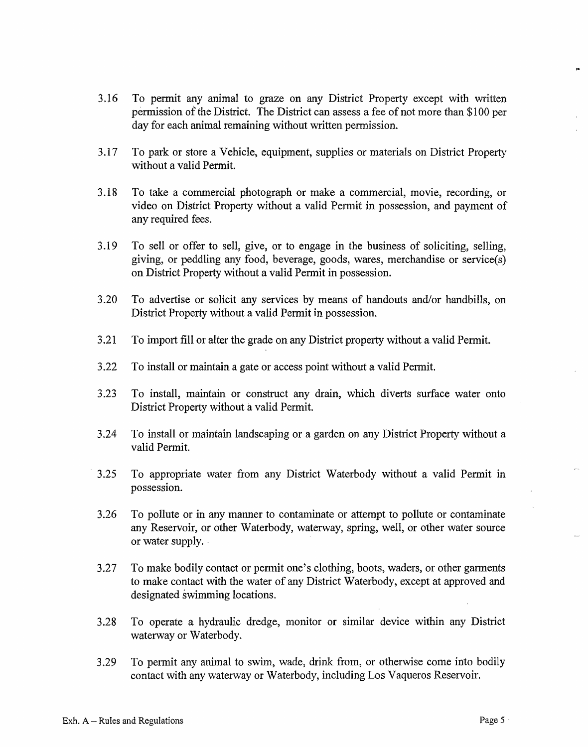- 3.16 To permit any animal to graze on any District Property except with written permission of the District. The District can assess a fee of not more than \$100 per day for each animal remaining without written permission.
- 3.17 To park or store a Vehicle, equipment, supplies or materials on District Property without a valid Permit.
- 3.18 To take a commercial photograph or make a commercial, movie, recording, or video on District Property without a valid Permit in possession, and payment of any required fees.
- 3.19 To sell or offer to sell, give, or to engage in the business of soliciting, selling, giving, or peddling any food, beverage, goods, wares, merchandise or service(s) on District Property without a valid Permit in possession.
- 3.20 To advertise or solicit any services by means of handouts and/or handbills, on District Property without a valid Permit in possession.
- 3.21 To import fill or alter the grade on any District property without a valid Permit.
- 3.22 To install or maintain a gate or access point without a valid Permit.
- 3.23 To install, maintain or construct any drain, which diverts surface water onto District Property without avalid Permit.
- 3.24 To install or maintain landscaping or a garden on any District Property without a valid Pennit.
- 3.25 To appropriate water from any District Waterbody without a valid Permit in possession.
- 3.26 To pollute or in any manner to contaminate or attempt to pollute or contaminate any Reservoir, or other Waterbody, waterway, spring, well, or other water source or water supply.
- 3.27 To make bodily contact or permit one's clothing, boots, waders, or other garments to make contact with the water of any District Waterbody, except at approved and designated swimming locations.
- 3.28 To operate a hydraulic dredge, monitor or similar device within any District waterway or Waterbody.
- 3.29 To pennit any animal to swim, wade, drink from, or otherwise come into bodily contact with any waterway or Waterbody, including Los Vaqueros Reservoir.

 $\mathbf{r}$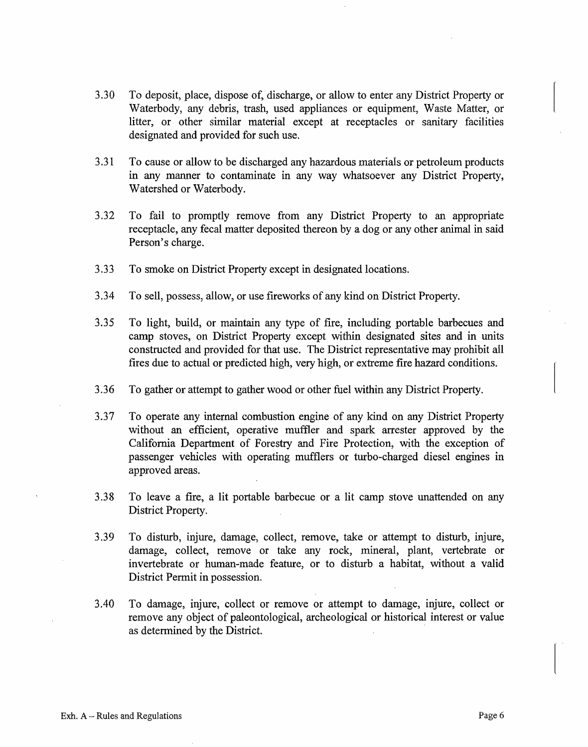- 3.30 To deposit, place, dispose of, discharge, or allow to enter any District Property or Waterbody, any debris, trash, used appliances or equipment, Waste Matter, or litter, or other similar material except at receptacles or sanitary facilities designated and provided for such use.
- 3.31 To cause or allow to be discharged any hazardous materials or petroleum products in any manner to contaminate in any way whatsoever any District Property, Watershed or Waterbody.
- 3.32 To fail to promptly remove from any District Property to an appropriate receptacle, any fecal matter deposited thereon by a dog or any other animal in said Person's charge.
- 3.33 To smoke on District Property except in designated locations.
- 3.34 To sell, possess, allow, or use fireworks of any kind on District Property.
- 3.35 To light, build, or maintain any type of fire, including portable barbecues and camp stoves, on District Property except within designated sites and in units constructed and provided for that use. The District representative may prohibit all fires due to actual or predicted high, very high, or extreme fire hazard conditions.
- 3 .36 To gather or attempt to gather wood or other fuel within any District Property.
- 3.37 To operate any internal combustion engine of any kind on any District Property without an efficient, operative muffler and spark arrester approved by the California Department of Forestry and Fire Protection, w\_ith the exception of passenger vehicles with operating mufflers or turbo-charged diesel engines in approved areas.
- 3.38 To leave a fire, a lit portable barbecue or a lit camp stove unattended on any District Property.
- 3.39 To disturb, injure, damage, collect, remove, take or attempt to disturb, injure, damage, collect, remove or take any rock, mineral, plant, vertebrate or invertebrate or human-made feature, or to disturb a habitat, without a valid District Permit in possession.
- 3.40 To damage, injure, collect or remove or attempt to damage, injure, collect or remove any object of paleontological, archeological or historical interest or value as determined by the District.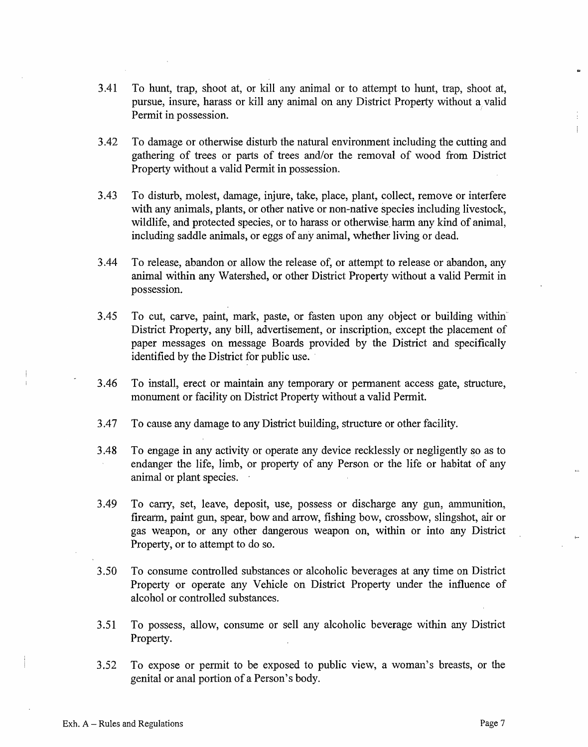- 3.41 To hunt, trap, shoot at, or kill any animal or to attempt to hunt, trap, shoot at, pursue, insure, harass or kill any animal on any District Property without a, valid Permit in possession.
- 3.42 To damage or otherwise disturb the natural environment including the cutting and gathering of trees or parts of trees and/or the removal of wood from District Property without a valid Permit in possession.
- 3.43 To disturb, molest, damage, injure, take, place, plant, collect, remove or interfere with any animals, plants, or other native or non-native species including livestock, wildlife, and protected species, or to harass or otherwise harm any kind of animal, including saddle animals, or eggs of any animal, whether living or dead.
- 3.44 To release, abandon or allow the release of, or attempt to release or abandon, any animal within any Watershed, or other District Property without a valid Pennit in possession.
- 3.45 To cut, carve, paint, mark, paste, or fasten upon any object or building within' District Property, any bill, advertisement, or inscription, except the placement of paper messages on message Boards provided by the District and specifically identified by the District for public use.
- 3 .46 To install, erect or maintain any temporary or permanent access gate, structure, monument or facility on District Property without a valid Permit.
- 3.47 To cause any damage to any District building, structure or other facility.
- 3.48 To engage in any activity or operate any device recklessly or negligently so as to endanger the life, limb, or property of any Person or the life or habitat of any animal or plant species.
- 3.49 To carry, set, leave, deposit, use, possess or discharge any gun, ammunition, firearm, paint gun, spear, bow and arrow, fishing bow, crossbow, slingshot, air or gas weapon, or any other dangerous weapon on, within or into any District Property, or to attempt to do so.
- 3.50 To consume controlled substances or alcoholic beverages at any time on District Property or operate any Vehicle on District Property under the influence of alcohol or controlled substances.
- 3.51 To possess, allow, consume or sell any alcoholic beverage within any District Property.
- 3.52 To expose or permit to be exposed to public view, a woman's breasts, or the genital or anal portion of a Person's body.

 $\ddot{\ddot{\mathrm{}}}$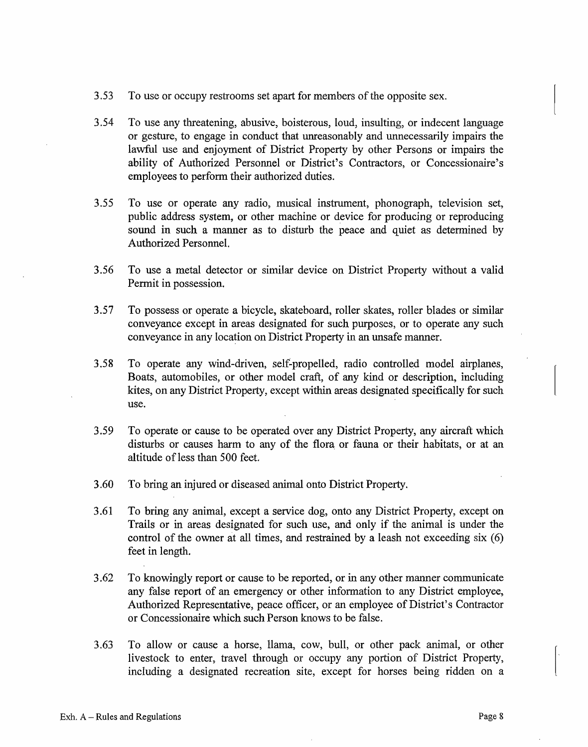- 3.53 To use or occupy restrooms set apart for members of the opposite sex.
- 3.54 To use any threatening, abusive, boisterous, loud, insulting, or indecent language or gesture, to engage in conduct that unreasonably and unnecessarily impairs the lawful use and enjoyment of District Property by other Persons or impairs the ability of Authorized Personnel or District's Contractors, or Concessionaire's employees to perform their authorized duties.
- 3.55 To use or operate any radio, musical instrument, phonograph, television set, public address system, or other machine or device for producing or reproducing sound in such a manner as to disturb the peace and quiet as determined by Authorized Personnel.
- 3.56 To use a metal detector or similar device on District Property without a valid Permit in possession.
- 3.57 To possess or operate a bicycle, skateboard, roller skates, roller blades or similar conveyance except in areas designated for such purposes, or to operate any such conveyance in any location on District Property in an unsafe manner.
- 3.58 To operate any wind-driven, self-propelled, radio controlled model airplanes, Boats, automobiles, or other model craft, of any kind or description, including kites, on any District Property, except within areas designated specifically for such use.
- 3.59 To operate or cause to be operated over any District Property, any aircraft which disturbs or causes harm to any of the flora or fauna or their habitats, or at an altitude of less than 500 feet
- 3.60 To bring an injured or diseased animal onto District Property.
- 3.61 To bring any animal, except a service dog, onto any District Property, except on Trails or in areas designated for such use, and only if the animal is under the control of the owner at all times, and restrained by a leash not exceeding  $s$ ix  $(6)$ feet in length.
- 3.62 To knowingly report or cause to be reported, or in any other manner communicate any false report of an emergency or other information to any District employee, Authorized Representative, peace officer, or an employee of District's Contractor or Concessionaire which such Person knows to be false.
- 3.63 To allow or cause a horse, llama, cow, bull, or other pack animal, or other livestock to enter, travel through or occupy any portion of District Property, including a designated recreation site, except for horses being ridden on a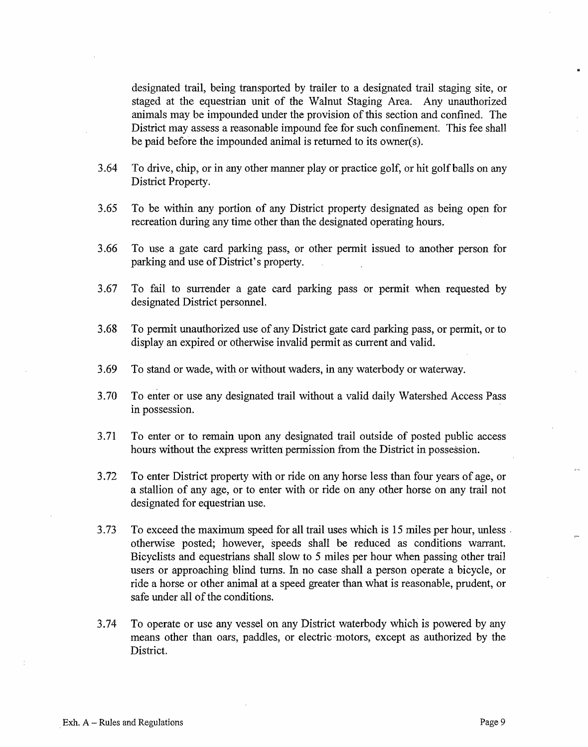designated trail, being transported by trailer to a designated trail staging site, or staged at the equestrian unit of the Walnut Staging Area. Any unauthorized animals may be impounded under the provision of this section and confined. The District may assess a reasonable impound fee for such confinement. This fee shall be paid before the impounded animal is returned to its owner(s).

- 3.64 To drive, chip, or in any other manner play or practice golf, or hit golf balls on any District Property.
- 3.65 To be within any portion of any District property designated as being open for recreation during any time other than the designated operating hours.
- 3.66 To use a gate card parking pass, or other permit issued to another person for parking and use of District's property.
- 3.67 To fail to surrender a gate card parking pass or permit when requested by designated District personnel.
- 3.68 To permit unauthorized use of any District gate card parking pass, or permit, or to display an expired or otherwise invalid permit as current and valid.
- 3.69 To stand or wade, with or without waders, in any waterbody or waterway.
- 3.70 To enter or use any designated trail without a valid daily Watershed Access Pass in possession.
- 3.71 To enter or to remain upon any designated trail outside of posted public access hours without the express written permission from the District in possession.
- 3.72 To enter District property with or ride on any horse less than four years of age, or a stallion of any age, or to enter with or ride on any other horse on any trail not designated for equestrian use.
- 3.73 To exceed the maximum speed for all trail uses which is 15 miles per hour, unless . otherwise posted; however, speeds shall be reduced as conditions warrant. Bicyclists and equestrians shall slow to 5 miles per hour when passing other trail users or approaching blind tums. In no case shall a person operate a bicycle, or ride a horse or other animal at a speed greater than what is reasonable, prudent, or safe under all of the conditions.
- 3.74 To operate or use any vessel on any District waterbody which is powered by any means other than oars, paddles, or electric "motors, except as authorized by the District.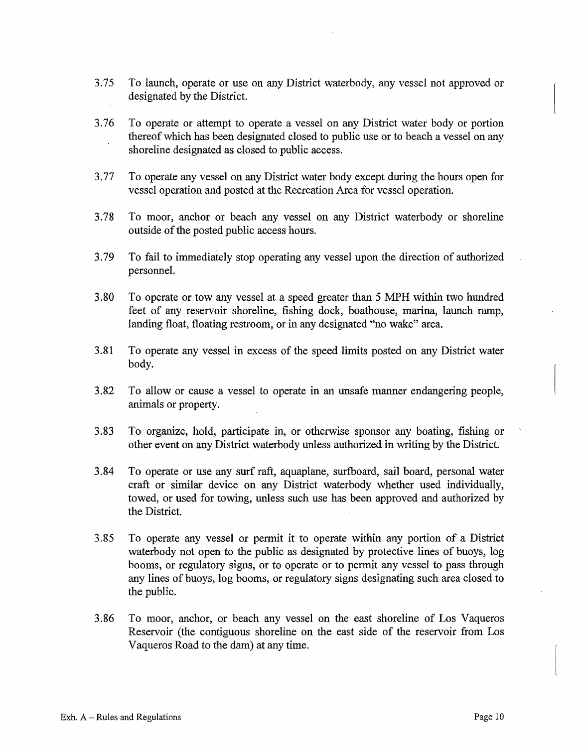- 3.75 To launch, operate or use on any District waterbody, any vessel not approved or designated by the District.
- 3.76 To operate or attempt to operate a vessel on any District water body or portion thereof which has been designated closed to public use or to beach a vessel on any shoreline designated as closed to public access.
- 3.77 To operate any vessel on any District water body except during the hours open for vessel operation and posted at the Recreation Area for vessel operation.
- 3.78 To moor, anchor or beach any vessel on any District waterbody or shoreline outside of the posted public access hours.
- 3.79 To fail to immediately stop operating any vessel upon the direction of authorized personnel.
- 3.80 To operate or tow any vessel at a speed greater than 5 MPH within two hundred. feet of any reservoir shoreline, fishing dock, boathouse, marina, launch ramp, landing float, floating restroom, or in any designated "no wake" area.
- 3.81 To operate any vessel in excess of the speed limits posted on any District water body.
- 3.82 To allow or cause a vessel to operate in an unsafe manner endangering people, animals or property.
- 3.83 To organize, hold, participate in, or otherwise sponsor any boating, fishing or other event on any District waterbody unless authorized in writing by the District.
- 3.84 To operate or use any surf raft, aquaplane, surfboard, sail board, personal water craft or similar device on any District waterbody whether used individually, towed, or used for towing, unless such use has been approved and authorized by the District.
- 3.85 To operate any vessel or permit it to operate within any portion of a District waterbody not open to the public as designated by protective lines of buoys, log booms, or regulatory signs, or to operate or to permit any vessel to pass through any lines of buoys, log booms, or regulatory signs designating such area closed to the public.
- 3.86 To moor, anchor, or beach any vessel on the east shoreline of Los Vaqueros Reservoir (the contiguous shoreline on the east side of the reservoir from Los Vaqueros Road to the dam) at any time.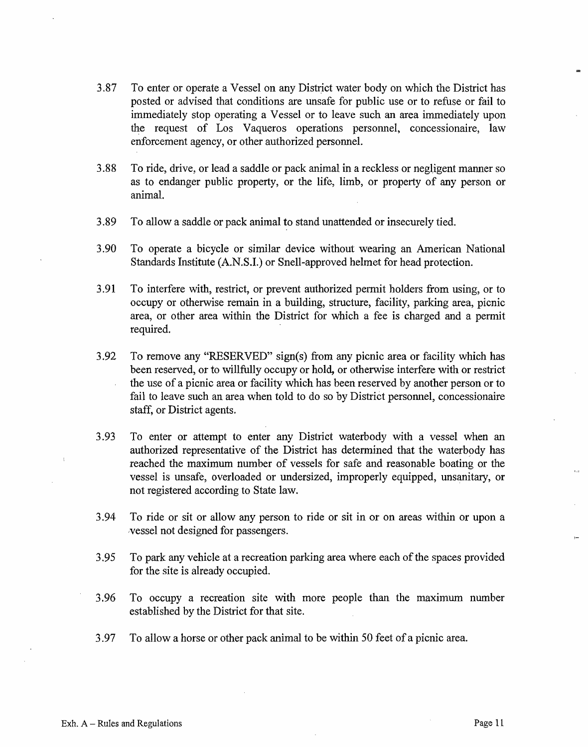- 3.87 To enter or operate a Vessel on any District water body on which the District has posted or advised that conditions are unsafe for public use or to refuse or fail to immediately stop operating a Vessel or to leave such an area immediately upon the request of Los Vaqueros operations personnel, concessionaire, law enforcement agency, or other authorized personnel.
- 3.88 To ride, drive, or lead a saddle or pack animal in a reckless or negligent manner so as to endanger public property, or the life, limb, or property of any person or animal.
- 3.89 To allow a saddle or pack animal to stand unattended or insecurely tied.
- 3.90 To operate a bicycle or similar device without wearing an American National Standards Institute (A.N.S.I.) or Snell-approved helmet for head protection.
- 3.91 To interfere with, restrict, or prevent authorized permit holders from using, or to occupy or otherwise remain in a building, structure, facility, parking area, picnic area, or other area within the District for which a fee is charged and a permit required.
- 3.92 To remove any "RESERVED" sign(s) from any picnic area or facility which has been reserved, or to willfully occupy or hold, or otherwise interfere with or restrict the use of a picnic area or facility which has been reserved by another person or to fail to leave such an area when told to do so by District personnel, concessionaire staff, or District agents.
- 3.93 To enter or attempt to enter any District waterbody with a vessel when an authorized representative of the District has determined that the waterbody has reached the maximum number of vessels for safe and reasonable boating or the vessel is unsafe, overloaded or undersized, improperly equipped, unsanitary, or not registered according to State law.
- 3.94 To ride or sit or allow any person to ride or sit in or on areas within or upon a .vessel not designed for passengers.
- 3.95 To park any vehicle at a recreation parking area where each of the spaces provided for the site is already occupied.
- 3.96 To occupy a recreation site with more people than the maximum number established by the District for that site.
- 3.97 To allow a horse or other pack animal to be within 50 feet of a picnic area.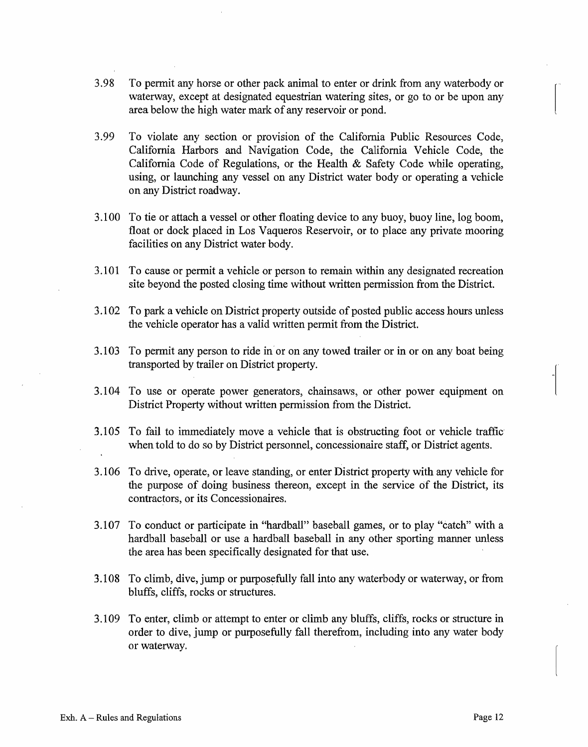- 3.98 To permit any horse or other pack animal to enter or drink from any waterbody or waterway, except at designated equestrian watering sites, or go to or be upon any area below the high water mark of any reservoir or pond.
- 3.99 To violate any section or provision of the California Public Resources Code, California Harbors and Navigation Code, the California Vehicle Code, the California Code of Regulations, or the Health & Safety Code while operating, using, or launching any vessel on any District water body or operating a vehicle on any District roadway.
- 3.100 To tie or attach a vessel or other floating device to any buoy, buoy line, log boom, float or dock placed in Los Vaqueros Reservoir, or to place any private mooring facilities on any District water body.
- 3.101 To cause or permit a vehicle or person to remain within any designated recreation site beyond the posted closing time without written permission from the District.
- 3.102 To park a vehicle on District property outside of posted public access hours unless the vehicle operator has a valid written permit from the District.
- 3.103 To permit any person to ride in or on any towed trailer or in or on any boat being transported by trailer on District property.
- 3.104 To use or operate power generators, chainsaws, or other power equipment on District Property without written permission from the District.
- 3.105 To fail to immediately move a vehicle that is obstructing foot or vehicle traffic· when told to do so by District personnel, concessionaire staff, or District agents.
- 3.106 To drive, operate, or leave standing, or enter District property with any vehicle for the purpose of doing business thereon, except in the service of the District, its contractors, or its Concessionaires.
- 3.107 To conduct or participate in "hardball" baseball games, or to play "catch" with a hardball baseball or use a hardball baseball in any other sporting manner unless the area has been specifically designated for that use.
- 3.108 To climb, dive, jump or purposefully fall into any waterbody or waterway, or from bluffs, cliffs, rocks or structures.
- 3.109 To enter, climb or attempt to enter or climb any bluffs, cliffs, rocks or structure in order to dive, jump or purposefully fall therefrom, including into any water body or waterway.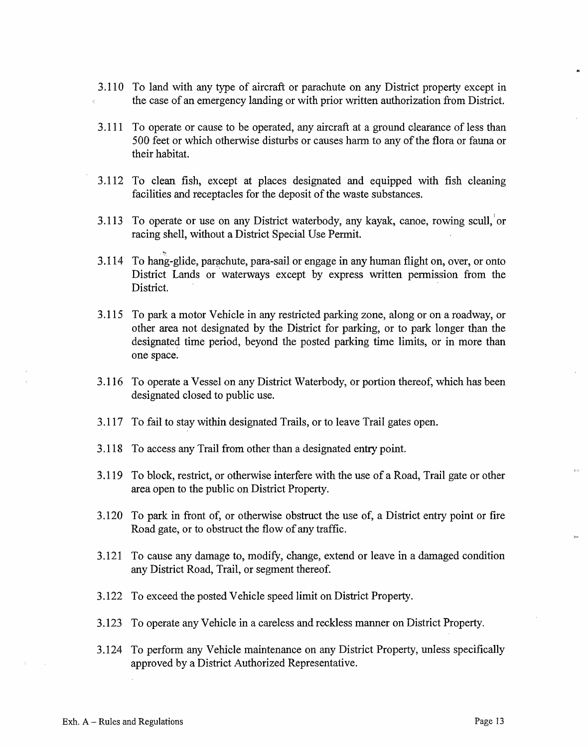- 3.110 To land with any type of aircraft or parachute on any District property except in the case of an emergency landing or with prior written authorization from District.
- 3.111 To operate or cause to be operated, any aircraft at a ground clearance of less than 500 feet or which otherwise disturbs or causes harm to any of the flora or fauna or their habitat.
- 3.112 To clean fish, except at places designated and equipped with fish cleaning facilities and receptacles for the deposit of the waste substances.
- 3.113 To operate or use on any District waterbody, any kayak, canoe, rowing scull, or racing shell, without a District Special Use Permit.
- 3.114 To hang-glide, parachute, para-sail or engage in any human flight on, over, or onto District Lands or waterways except by express written permission from the District.
- 3.115 To park a motor Vehicle in any restricted parking zone, along or on a roadway, or other area not designated by the District for parking, or to park longer than the designated time period, beyond the posted parking time limits, or in more than one space.
- 3.116 To operate a Vessel on any District Waterbody, or portion thereof, which has been designated closed to public use.
- 3.117 To fail to stay within designated Trails, or to leave Trail gates open.
- 3.118 To access any Trail from other than a designated entry point.
- 3.119 To block, restrict, or otherwise interfere with the use of a Road, Trail gate or other area open to the public on District Property.
- 3.120 To park in front of, or otherwise obstruct the use of, a District entry point or fire Road gate, or to obstruct the flow of any traffic.
- 3.121 To cause any damage to, modify, change, extend or leave in a damaged condition any District Road, Trail, or segment thereof.
- 3.122 To exceed the posted Vehicle speed limit on District Property.
- 3.123 To operate any Vehicle in a careless and reckless manner on District Property.
- 3.124 To perform any Vehicle maintenance on any District Property, unless specifically approved by a District Authorized Representative.

 $1.2$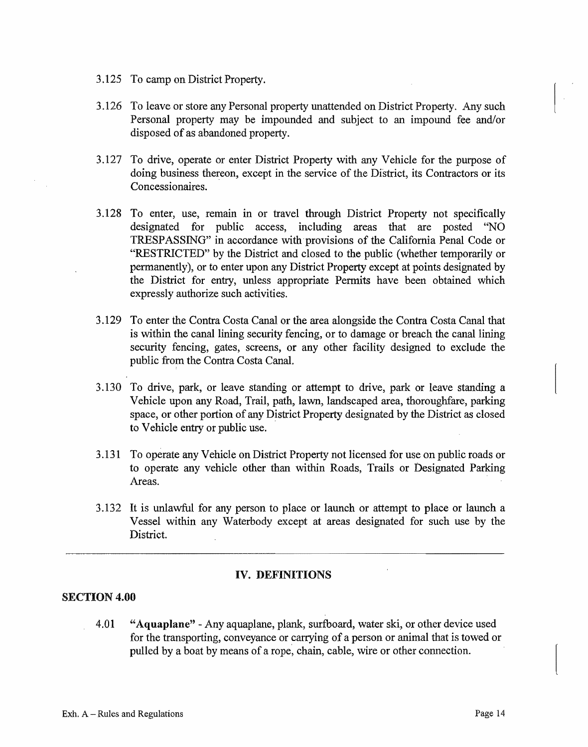- 3.125 To camp on District Property.
- 3.126 To leave or store any Personal property unattended on District Property. Any such Personal property may be impounded and subject to an impound fee and/or disposed of as abandoned property.
- 3.127 To drive, operate or enter District Property with any Vehicle for the purpose of doing business thereon, except in the service of the District, its Contractors or its Concessionaires.
- 3.128 To enter, use, remain in or travel through District Property not specifically designated for public access, including areas that are posted "NO TRESPASSING" in accordance with ·provisions of the California Penal Code or "RESTRICTED" by the District and closed to the public (whether temporarily or permanently), or to enter upon any District Property except at points designated by the District for entry, unless appropriate Permits have been obtained which expressly authorize such activities.
- 3.129 To enter the Contra Costa Canal or the area alongside the Contra Costa Canal that is within the canal lining security fencing, or to damage or breach the canal lining security fencing, gates, screens, or any other facility designed to exclude the public from the Contra Costa Canal.
- 3.130 To drive, park, or leave standing or attempt to drive, park or leave standing a Vehicle upon any Road, Trail, path, lawn, landscaped area, thoroughfare, parking space, or other portion of any District Property designated by the District as closed to Vehicle entry or public use.
- 3.131 To operate any Vehicle on District Property not licensed for use on public roads or to operate any vehicle other than within Roads, Trails or Designated Parking Areas. **A Areas**.
- 3.132 It is unlawful for any person to place or launch or attempt to place or launch a Vessel within any Waterbody except at areas designated for such use by the District.

## **IV. DEFINITIONS**

# **SECTION 4.00**

4.01 **"Aquaplane"** -Any aquaplane, plank, surfboard, water ski, or other device used for the transporting, conveyance or carrying of a person or animal that is towed or pulled by a boat by means of a rope, chain, cable, wire or other connection.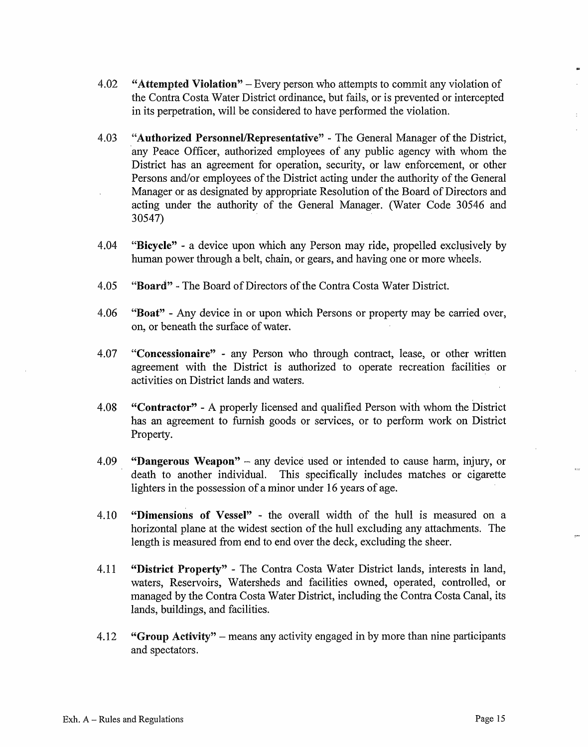- 4.02 **"Attempted Violation"** -Every person who attempts to commit any violation of the Contra Costa Water District ordinance, but fails, or is prevented or intercepted in its perpetration, will be considered to have performed the violation.
- 4.03 **"Authorized Personnel/Representative''**  The General Manager of the District, any Peace Officer, authorized employees of any public agency with whom the District has an agreement for operation, security, or law enforcement, or other Persons and/or employees of the District acting under the authority of the General Manager or as designated by appropriate Resolution of the Board of Directors and acting under the authority of the General Manager. (Water Code 30546 and 30547)
- 4.04 **"Bicycle"** a device upon which any Person may ride, propelled exclusively by human power through a belt, chain, or gears, and having one or more wheels.
- 4.05 **"Board"**  The Board of Directors of the Contra Costa Water District.
- 4.06 **"Boat"**  Any device in or upon which Persons or property may be carried over, on, or beneath the surface of water.
- 4.07 **"Concessionaire"**  any Person who through contract, lease, or other written agreement with the District is authorized to operate recreation facilities or activities on District lands and waters.
- 4.08 **"Contractor"**  A properly licensed and qualified Person with whom the District has an agreement to furnish goods or services, or to perform work on District Property.
- 4.09 **"Dangerous Weapon"**  any device used or intended to cause harm, injury, or death to another individual. This specifically includes matches or cigarette lighters in the possession of a minor under 16 years of age.
- 4.10 **"Dimensions of Vessel"**  the overall width of the hull is measured on a horizontal plane at the widest section of the hull excluding any attachments. The length is measured from end to end over the deck, excluding the sheer.
- 4.11 **"District Property"**  The Contra Costa Water District lands, interests in land, waters, Reservoirs, Watersheds and facilities owned, operated, controlled, or managed by the Contra Costa Water District, including the Contra Costa Canal, its lands, buildings, and facilities.
- 4.12 **"Group Activity"**  means any activity engaged in by more than nine participants and spectators.

 $\overline{\phantom{a}}$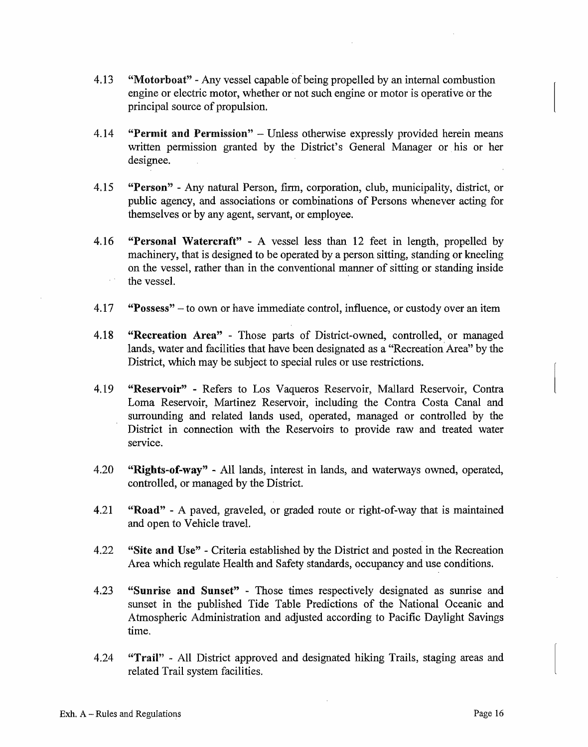- 4.13 "Motorboat" Any vessel capable of being propelled by an internal combustion engine or electric motor, whether or not such engine or motor is operative or the principal source of propulsion.
- 4.14 **"Permit and Permission"** Unless otherwise expressly provided herein means written permission granted by the District's General Manager or his or her designee.
- 4.15 **''Person''**  Any natural Person, firm, corporation, club, municipality, district, or public agency, and associations or combinations of Persons whenever acting for themselves or by any agent, servant, or employee.
- 4.16 **"Personal Watercraft"**  A vessel less than 12 feet in length, propelled by machinery, that is designed to be operated by a person sitting, standing or kneeling on the vessel, rather than in the conventional manner of sitting or standing inside the vessel.
- 4.17 **"Possess"**  to own or have immediate control, influence, or custody over an item
- 4.18 **"Recreation Area''**  Those parts of District-owned, controlled, or managed lands, water and facilities that have been designated as a "Recreation Area" by the District, which may be subject to special rules or use restrictions.
- 4.19 **"Reservoir"**  Refers to Los Vaqueros Reservoir, Mallard Reservoir, Contra Loma Reservoir, Martinez Reservoir, including the Contra Costa Canal and surrounding and related lands used, operated, managed or controlled by the District in connection with the Reservoirs to provide raw and treated water service.
- 4.20 **"Rights-of-way"** All lands, interest in lands, and waterways owned, operated, controlled, or managed by the District.
- 4.21 **"Road"**  A paved, graveled, or graded route or right-of-way that is maintained and open to Vehicle travel.
- 4.22 **"Site and Use"**  Criteria established by the District and posted in the Recreation Area which regulate Health and Safety standards, occupancy and use conditions.
- 4.23 **"Sunrise and Sunset''**  Those times respectively designated as sunrise and sunset in the published Tide Table Predictions of the National Oceanic and Atmospheric Administration and adjusted according to Pacific Daylight Savings time.
- 4.24 **"Trail''**  All District approved and designated hiking Trails, staging areas and related Trail system facilities.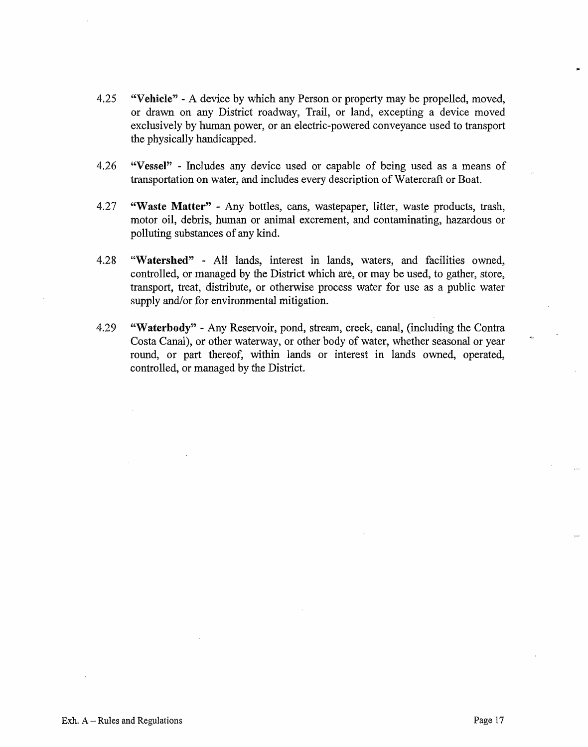- 4.25 **"Vehicle''**  A device by which any Person or property may be propelled, moved, or drawn on any District roadway, Trail, or land, excepting a device moved exclusively by human power, or an electric-powered conveyance used to transport the physically handicapped.
- 4.26 **"Vessel"**  Includes any device used or capable of being used as a means of transportation on water, and includes every description of Watercraft or Boat.
- 4.27 **"Waste Matter"**  Any bottles, cans, wastepaper, litter, waste products, trash, motor oil, debris, human or animal excrement, and contaminating, hazardous or polluting substances of any kind.
- 4.28 **"Watershed"**  All lands, interest in lands, waters, and facilities owned, controlled, or managed by the District which are, or may be used, to gather, store, transport, treat, distribute, or otherwise process water for use as a public water supply and/or for environmental mitigation.
- 4.29 **"Waterbody"**  Any Reservoir, pond, stream, creek, canal, (including the Contra Costa Canal), or other waterway, or other body of water, whether seasonal or year round, or part thereof, within lands or interest in lands owned, operated, controlled, or managed by the District.